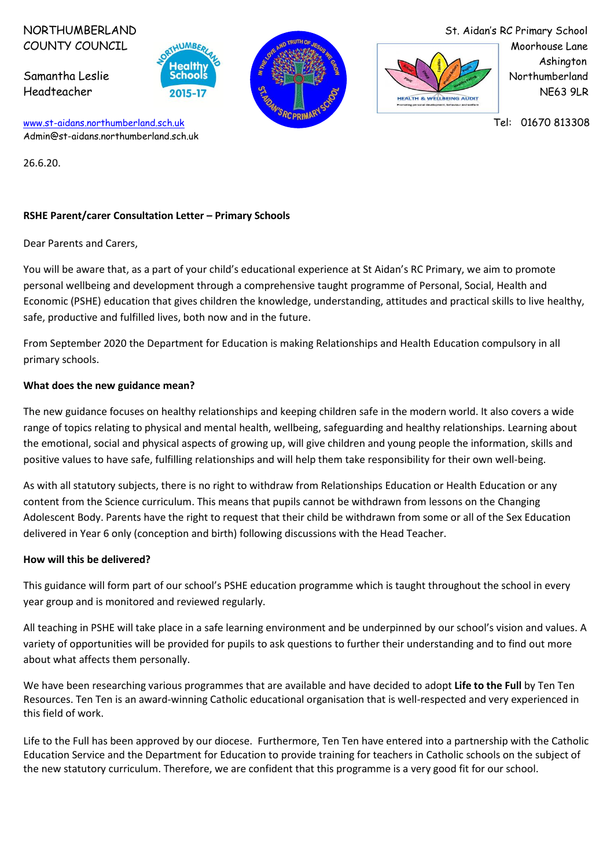COUNTY COUNCIL WINDINGS, WE TRUINGS AND TRUININGS AND TRUININGS AND TRUININGS AND TRUININGS AND TRUININGS AND TRUININGS AND TRUININGS AND TRUININGS AND TRUININGS AND TRUININGS AND TRUININGS AND TRUININGS AND TRUININGS AND





NORTHUMBERLAND St. Aidan's RC Primary School

[www.st-aidans.northumberland.sch.uk](http://www.st-aidans.northumberland.sch.uk/) Tel: 01670 813308 Admin@st-aidans.northumberland.sch.uk

26.6.20.

## **RSHE Parent/carer Consultation Letter – Primary Schools**

Dear Parents and Carers,

You will be aware that, as a part of your child's educational experience at St Aidan's RC Primary, we aim to promote personal wellbeing and development through a comprehensive taught programme of Personal, Social, Health and Economic (PSHE) education that gives children the knowledge, understanding, attitudes and practical skills to live healthy, safe, productive and fulfilled lives, both now and in the future.

From September 2020 the Department for Education is making Relationships and Health Education compulsory in all primary schools.

## **What does the new guidance mean?**

The new guidance focuses on healthy relationships and keeping children safe in the modern world. It also covers a wide range of topics relating to physical and mental health, wellbeing, safeguarding and healthy relationships. Learning about the emotional, social and physical aspects of growing up, will give children and young people the information, skills and positive values to have safe, fulfilling relationships and will help them take responsibility for their own well-being.

As with all statutory subjects, there is no right to withdraw from Relationships Education or Health Education or any content from the Science curriculum. This means that pupils cannot be withdrawn from lessons on the Changing Adolescent Body. Parents have the right to request that their child be withdrawn from some or all of the Sex Education delivered in Year 6 only (conception and birth) following discussions with the Head Teacher.

## **How will this be delivered?**

This guidance will form part of our school's PSHE education programme which is taught throughout the school in every year group and is monitored and reviewed regularly.

All teaching in PSHE will take place in a safe learning environment and be underpinned by our school's vision and values. A variety of opportunities will be provided for pupils to ask questions to further their understanding and to find out more about what affects them personally.

We have been researching various programmes that are available and have decided to adopt **Life to the Full** by Ten Ten Resources. Ten Ten is an award-winning Catholic educational organisation that is well-respected and very experienced in this field of work.

Life to the Full has been approved by our diocese. Furthermore, Ten Ten have entered into a partnership with the Catholic Education Service and the Department for Education to provide training for teachers in Catholic schools on the subject of the new statutory curriculum. Therefore, we are confident that this programme is a very good fit for our school.